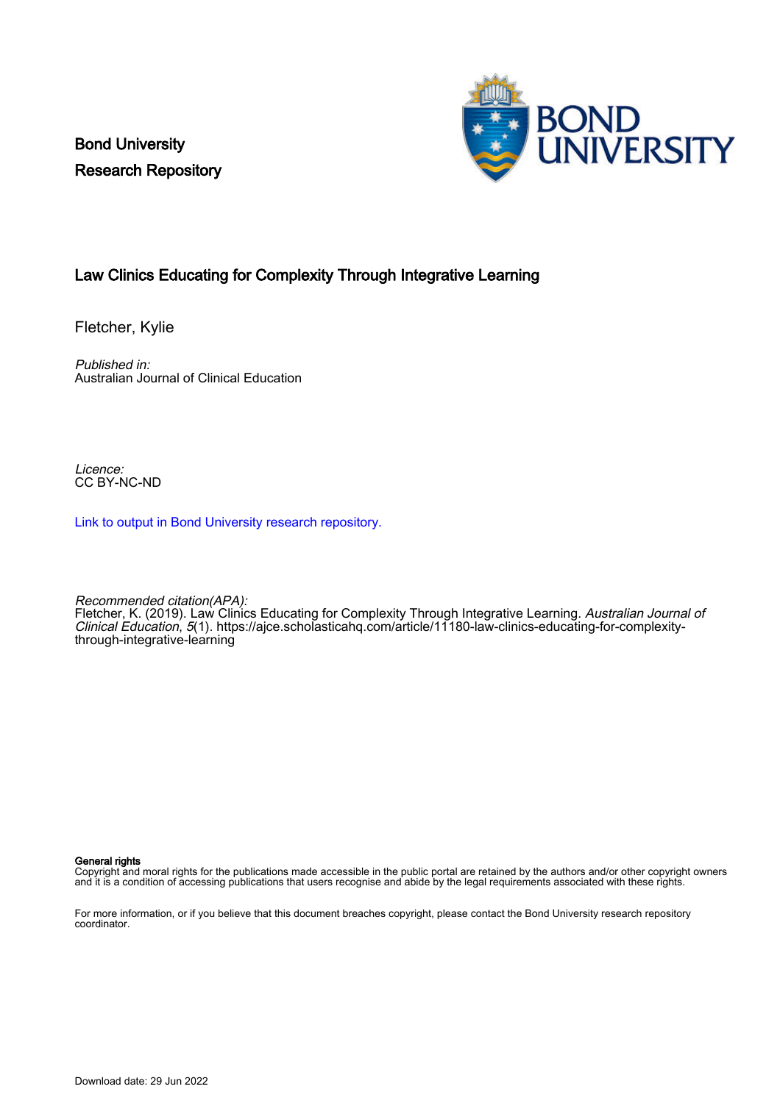Bond University Research Repository



## Law Clinics Educating for Complexity Through Integrative Learning

Fletcher, Kylie

Published in: Australian Journal of Clinical Education

Licence: CC BY-NC-ND

[Link to output in Bond University research repository.](https://research.bond.edu.au/en/publications/cee241ee-e250-4c7a-9548-5d5e495b9236)

Recommended citation(APA):

Fletcher, K. (2019). Law Clinics Educating for Complexity Through Integrative Learning. Australian Journal of Clinical Education, 5(1). [https://ajce.scholasticahq.com/article/11180-law-clinics-educating-for-complexity](https://ajce.scholasticahq.com/article/11180-law-clinics-educating-for-complexity-through-integrative-learning)[through-integrative-learning](https://ajce.scholasticahq.com/article/11180-law-clinics-educating-for-complexity-through-integrative-learning)

General rights

Copyright and moral rights for the publications made accessible in the public portal are retained by the authors and/or other copyright owners and it is a condition of accessing publications that users recognise and abide by the legal requirements associated with these rights.

For more information, or if you believe that this document breaches copyright, please contact the Bond University research repository coordinator.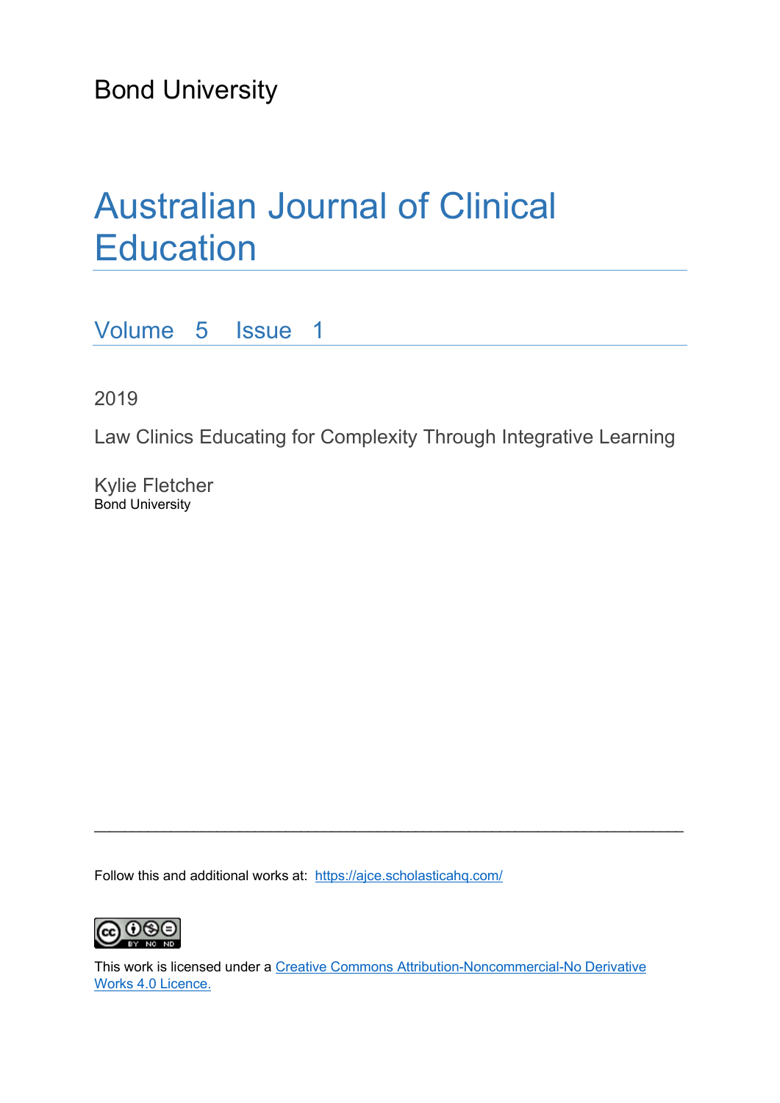Bond University

# Australian Journal of Clinical **Education**

Volume 5 Issue 1

2019

Law Clinics Educating for Complexity Through Integrative Learning

Kylie Fletcher Bond University

Follow this and additional works at: https://ajce.scholasticahq.com/



This work is licensed under a Creative Commons Attribution-Noncommercial-No Derivative Works 4.0 Licence.

 $\_$  , and the set of the set of the set of the set of the set of the set of the set of the set of the set of the set of the set of the set of the set of the set of the set of the set of the set of the set of the set of th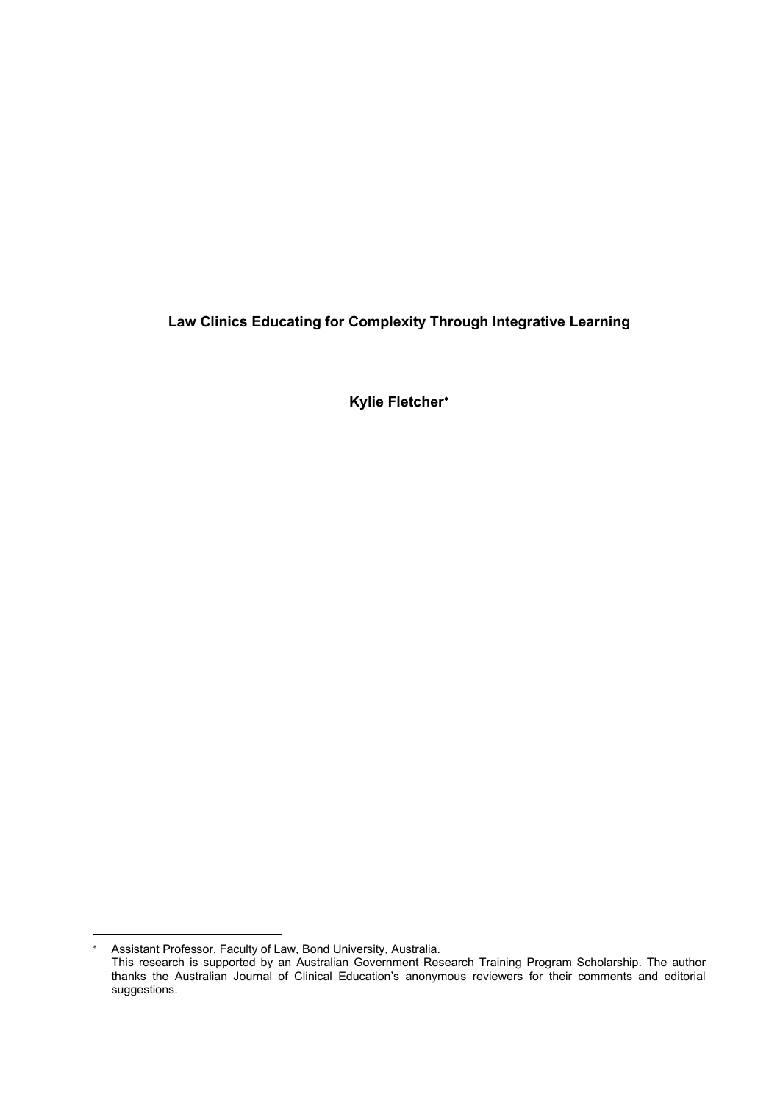**Law Clinics Educating for Complexity Through Integrative Learning**

**Kylie Fletcher**[∗](#page-2-0)

<span id="page-2-0"></span><sup>∗</sup> Assistant Professor, Faculty of Law, Bond University, Australia.

This research is supported by an Australian Government Research Training Program Scholarship. The author thanks the Australian Journal of Clinical Education's anonymous reviewers for their comments and editorial suggestions.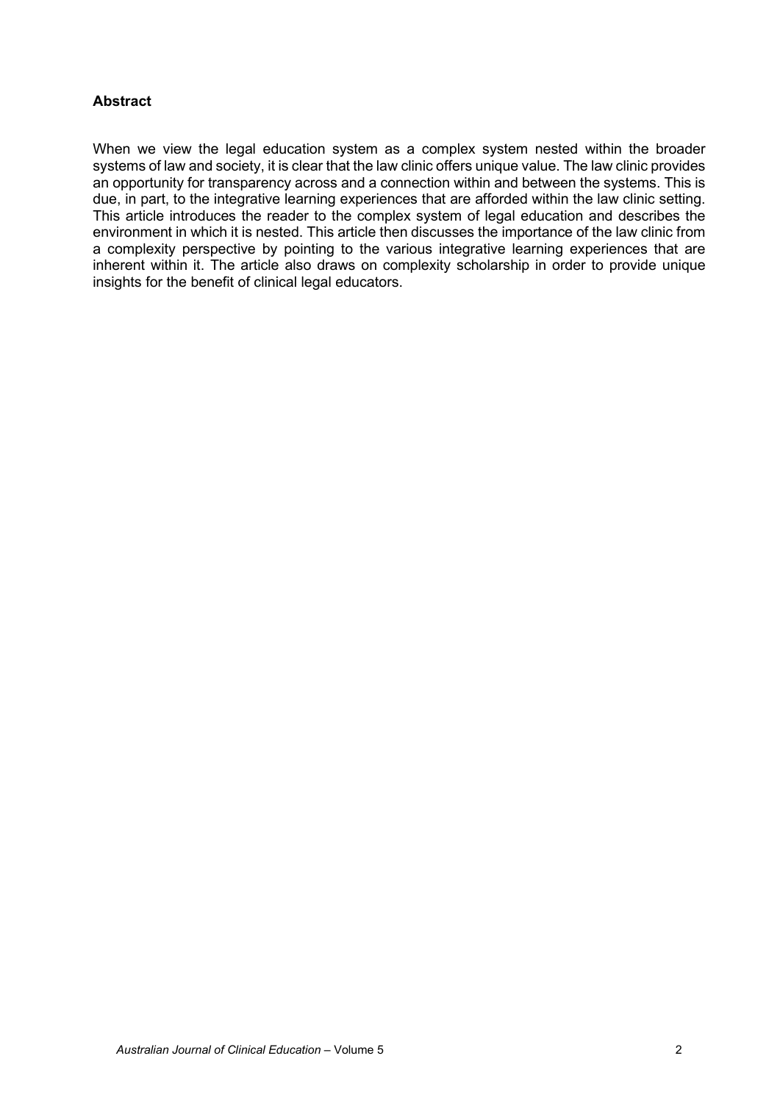## **Abstract**

When we view the legal education system as a complex system nested within the broader systems of law and society, it is clear that the law clinic offers unique value. The law clinic provides an opportunity for transparency across and a connection within and between the systems. This is due, in part, to the integrative learning experiences that are afforded within the law clinic setting. This article introduces the reader to the complex system of legal education and describes the environment in which it is nested. This article then discusses the importance of the law clinic from a complexity perspective by pointing to the various integrative learning experiences that are inherent within it. The article also draws on complexity scholarship in order to provide unique insights for the benefit of clinical legal educators.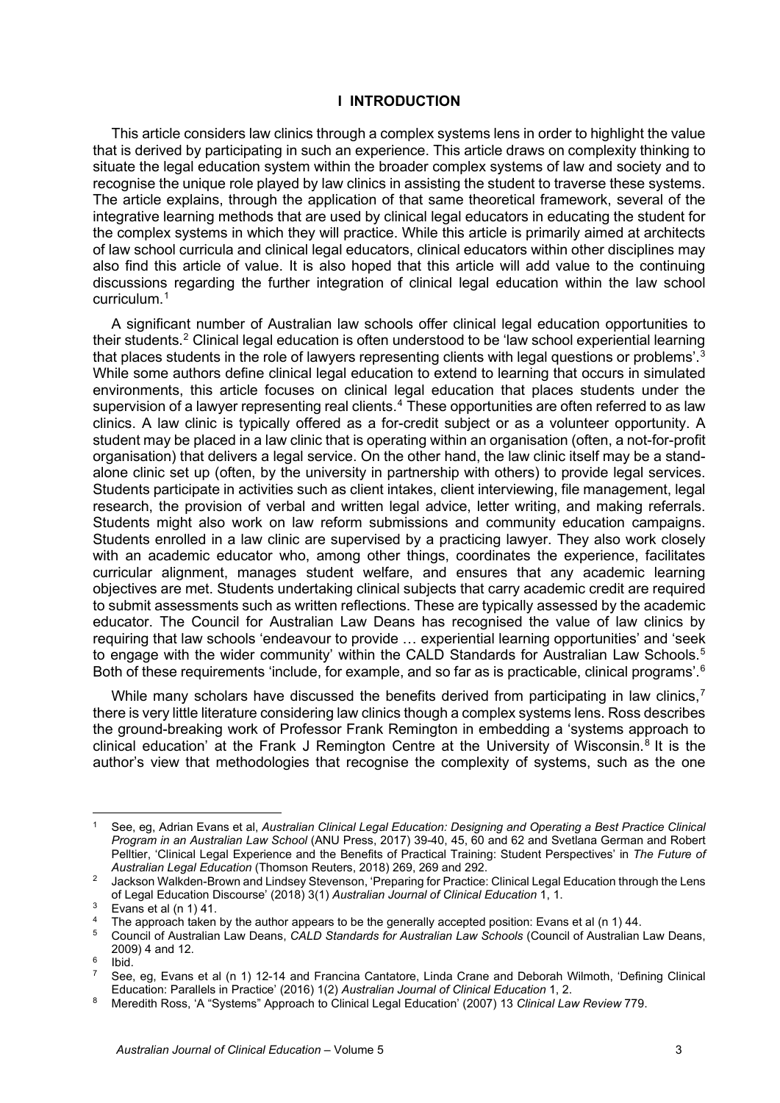#### **I INTRODUCTION**

This article considers law clinics through a complex systems lens in order to highlight the value that is derived by participating in such an experience. This article draws on complexity thinking to situate the legal education system within the broader complex systems of law and society and to recognise the unique role played by law clinics in assisting the student to traverse these systems. The article explains, through the application of that same theoretical framework, several of the integrative learning methods that are used by clinical legal educators in educating the student for the complex systems in which they will practice. While this article is primarily aimed at architects of law school curricula and clinical legal educators, clinical educators within other disciplines may also find this article of value. It is also hoped that this article will add value to the continuing discussions regarding the further integration of clinical legal education within the law school curriculum.[1](#page-4-0)

A significant number of Australian law schools offer clinical legal education opportunities to their students.[2](#page-4-1) Clinical legal education is often understood to be 'law school experiential learning that places students in the role of lawyers representing clients with legal questions or problems'.<sup>[3](#page-4-2)</sup> While some authors define clinical legal education to extend to learning that occurs in simulated environments, this article focuses on clinical legal education that places students under the supervision of a lawyer representing real clients.<sup>[4](#page-4-3)</sup> These opportunities are often referred to as law clinics. A law clinic is typically offered as a for-credit subject or as a volunteer opportunity. A student may be placed in a law clinic that is operating within an organisation (often, a not-for-profit organisation) that delivers a legal service. On the other hand, the law clinic itself may be a standalone clinic set up (often, by the university in partnership with others) to provide legal services. Students participate in activities such as client intakes, client interviewing, file management, legal research, the provision of verbal and written legal advice, letter writing, and making referrals. Students might also work on law reform submissions and community education campaigns. Students enrolled in a law clinic are supervised by a practicing lawyer. They also work closely with an academic educator who, among other things, coordinates the experience, facilitates curricular alignment, manages student welfare, and ensures that any academic learning objectives are met. Students undertaking clinical subjects that carry academic credit are required to submit assessments such as written reflections. These are typically assessed by the academic educator. The Council for Australian Law Deans has recognised the value of law clinics by requiring that law schools 'endeavour to provide … experiential learning opportunities' and 'seek to engage with the wider community' within the CALD Standards for Australian Law Schools.<sup>[5](#page-4-4)</sup> Both of these requirements 'include, for example, and so far as is practicable, clinical programs'.<sup>[6](#page-4-5)</sup>

While many scholars have discussed the benefits derived from participating in law clinics,<sup>[7](#page-4-6)</sup> there is very little literature considering law clinics though a complex systems lens. Ross describes the ground-breaking work of Professor Frank Remington in embedding a 'systems approach to clinical education' at the Frank J Remington Centre at the University of Wisconsin.[8](#page-4-7) It is the author's view that methodologies that recognise the complexity of systems, such as the one

<span id="page-4-0"></span><sup>1</sup> See, eg, Adrian Evans et al, *Australian Clinical Legal Education: Designing and Operating a Best Practice Clinical Program in an Australian Law School* (ANU Press, 2017) 39-40, 45, 60 and 62 and Svetlana German and Robert Pelltier, 'Clinical Legal Experience and the Benefits of Practical Training: Student Perspectives' in *The Future of*<br>Australian Legal Education (Thomson Reuters, 2018) 269, 269 and 292.

<span id="page-4-1"></span>Jackson Walkden-Brown and Lindsey Stevenson, 'Preparing for Practice: Clinical Legal Education through the Lens of Legal Education Discourse' (2018) 3(1) *Australian Journal of Clinical Education* 1, 1.<br><sup>3</sup> Evans et al (n 1) 41.<br><sup>4</sup> The approach taken by the author appears to be the generally accepted position: Evans et al (n 1) 44.

<span id="page-4-2"></span>

<span id="page-4-3"></span>

<span id="page-4-4"></span><sup>&</sup>lt;sup>5</sup> Council of Australian Law Deans, CALD Standards for Australian Law Schools (Council of Australian Law Deans, 2009) 4 and 12.<br><sup>6</sup> Ibid.<br><sup>7</sup> See, eg, Evans et al (n 1) 12-14 and Francina Cantatore, Linda Crane and Deborah Wilmoth, 'Defining Clinical

<span id="page-4-6"></span><span id="page-4-5"></span>

Education: Parallels in Practice' (2016) 1(2) *Australian Journal of Clinical Education* 1, 2.

<span id="page-4-7"></span><sup>8</sup> Meredith Ross, 'A "Systems" Approach to Clinical Legal Education' (2007) 13 *Clinical Law Review* 779.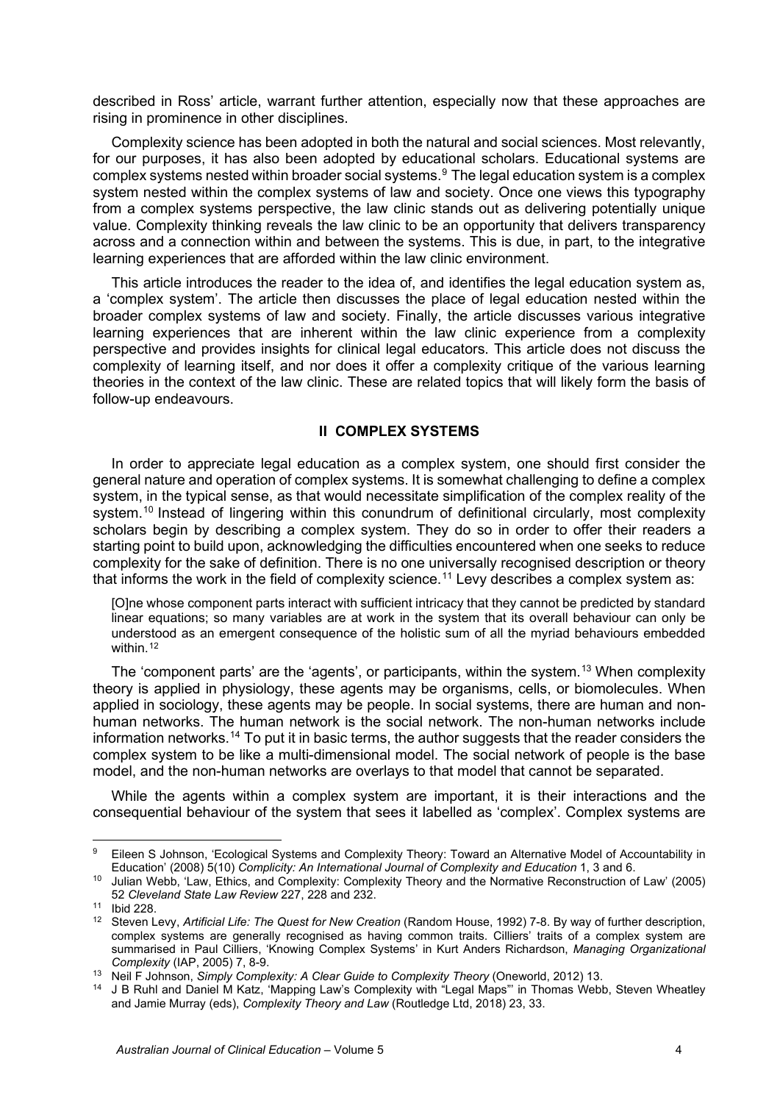described in Ross' article, warrant further attention, especially now that these approaches are rising in prominence in other disciplines.

Complexity science has been adopted in both the natural and social sciences. Most relevantly, for our purposes, it has also been adopted by educational scholars. Educational systems are complex systems nested within broader social systems.[9](#page-5-0) The legal education system is a complex system nested within the complex systems of law and society. Once one views this typography from a complex systems perspective, the law clinic stands out as delivering potentially unique value. Complexity thinking reveals the law clinic to be an opportunity that delivers transparency across and a connection within and between the systems. This is due, in part, to the integrative learning experiences that are afforded within the law clinic environment.

This article introduces the reader to the idea of, and identifies the legal education system as, a 'complex system'. The article then discusses the place of legal education nested within the broader complex systems of law and society. Finally, the article discusses various integrative learning experiences that are inherent within the law clinic experience from a complexity perspective and provides insights for clinical legal educators. This article does not discuss the complexity of learning itself, and nor does it offer a complexity critique of the various learning theories in the context of the law clinic. These are related topics that will likely form the basis of follow-up endeavours.

#### **II COMPLEX SYSTEMS**

In order to appreciate legal education as a complex system, one should first consider the general nature and operation of complex systems. It is somewhat challenging to define a complex system, in the typical sense, as that would necessitate simplification of the complex reality of the system.<sup>[10](#page-5-1)</sup> Instead of lingering within this conundrum of definitional circularly, most complexity scholars begin by describing a complex system. They do so in order to offer their readers a starting point to build upon, acknowledging the difficulties encountered when one seeks to reduce complexity for the sake of definition. There is no one universally recognised description or theory that informs the work in the field of complexity science.<sup>[11](#page-5-2)</sup> Levy describes a complex system as:

[O]ne whose component parts interact with sufficient intricacy that they cannot be predicted by standard linear equations; so many variables are at work in the system that its overall behaviour can only be understood as an emergent consequence of the holistic sum of all the myriad behaviours embedded within.<sup>[12](#page-5-3)</sup>

The 'component parts' are the 'agents', or participants, within the system.<sup>[13](#page-5-4)</sup> When complexity theory is applied in physiology, these agents may be organisms, cells, or biomolecules. When applied in sociology, these agents may be people. In social systems, there are human and nonhuman networks. The human network is the social network. The non-human networks include information networks.<sup>[14](#page-5-5)</sup> To put it in basic terms, the author suggests that the reader considers the complex system to be like a multi-dimensional model. The social network of people is the base model, and the non-human networks are overlays to that model that cannot be separated.

While the agents within a complex system are important, it is their interactions and the consequential behaviour of the system that sees it labelled as 'complex'. Complex systems are

<span id="page-5-0"></span><sup>9</sup> Eileen S Johnson, 'Ecological Systems and Complexity Theory: Toward an Alternative Model of Accountability in Education' (2008) 5(10) *Complicity: An International Journal of Complexity and Education* 1, 3 and 6.

<span id="page-5-1"></span><sup>10</sup> Julian Webb, 'Law, Ethics, and Complexity: Complexity Theory and the Normative Reconstruction of Law' (2005) 52 *Cleveland State Law Review* 227, 228 and 232.

<span id="page-5-2"></span><sup>11</sup> Ibid 228.

<span id="page-5-3"></span><sup>12</sup> Steven Levy, *Artificial Life: The Quest for New Creation* (Random House, 1992) 7-8. By way of further description, complex systems are generally recognised as having common traits. Cilliers' traits of a complex system are summarised in Paul Cilliers, 'Knowing Complex Systems' in Kurt Anders Richardson, *Managing Organizational Complexity* (IAP, 2005) 7, 8-9.

<span id="page-5-4"></span><sup>13</sup> Neil F Johnson, *Simply Complexity: A Clear Guide to Complexity Theory* (Oneworld, 2012) 13.

<span id="page-5-5"></span><sup>&</sup>lt;sup>14</sup> J B Ruhl and Daniel M Katz, 'Mapping Law's Complexity with "Legal Maps"' in Thomas Webb, Steven Wheatley and Jamie Murray (eds), *Complexity Theory and Law* (Routledge Ltd, 2018) 23, 33.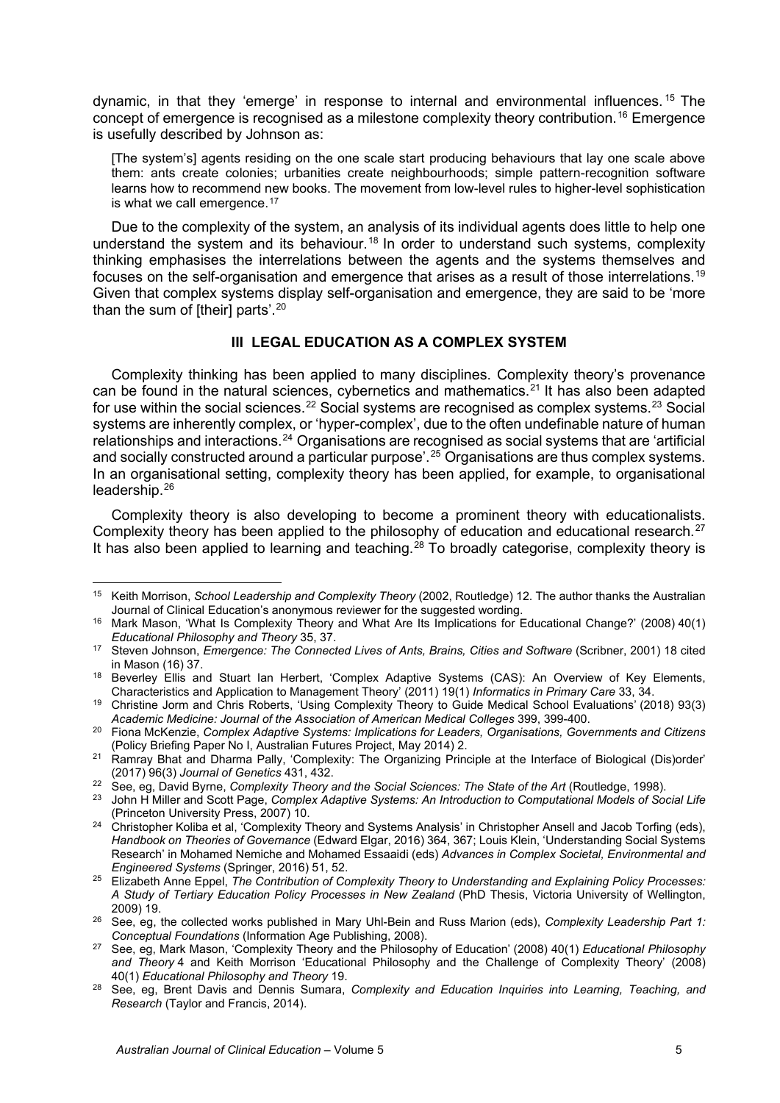dynamic, in that they 'emerge' in response to internal and environmental influences. [15](#page-6-0) The concept of emergence is recognised as a milestone complexity theory contribution.[16](#page-6-1) Emergence is usefully described by Johnson as:

[The system's] agents residing on the one scale start producing behaviours that lay one scale above them: ants create colonies; urbanities create neighbourhoods; simple pattern-recognition software learns how to recommend new books. The movement from low-level rules to higher-level sophistication is what we call emergence.<sup>[17](#page-6-2)</sup>

Due to the complexity of the system, an analysis of its individual agents does little to help one understand the system and its behaviour.<sup>[18](#page-6-3)</sup> In order to understand such systems, complexity thinking emphasises the interrelations between the agents and the systems themselves and focuses on the self-organisation and emergence that arises as a result of those interrelations.[19](#page-6-4) Given that complex systems display self-organisation and emergence, they are said to be 'more than the sum of [their] parts'.[20](#page-6-5)

## **III LEGAL EDUCATION AS A COMPLEX SYSTEM**

Complexity thinking has been applied to many disciplines. Complexity theory's provenance can be found in the natural sciences, cybernetics and mathematics.<sup>[21](#page-6-6)</sup> It has also been adapted for use within the social sciences.<sup>[22](#page-6-7)</sup> Social systems are recognised as complex systems.<sup>[23](#page-6-8)</sup> Social systems are inherently complex, or 'hyper-complex', due to the often undefinable nature of human relationships and interactions.[24](#page-6-9) Organisations are recognised as social systems that are 'artificial and socially constructed around a particular purpose'.<sup>[25](#page-6-10)</sup> Organisations are thus complex systems. In an organisational setting, complexity theory has been applied, for example, to organisational leadership.[26](#page-6-11)

Complexity theory is also developing to become a prominent theory with educationalists. Complexity theory has been applied to the philosophy of education and educational research.<sup>[27](#page-6-12)</sup> It has also been applied to learning and teaching.<sup>[28](#page-6-13)</sup> To broadly categorise, complexity theory is

<span id="page-6-0"></span><sup>15</sup> Keith Morrison, *School Leadership and Complexity Theory* (2002, Routledge) 12. The author thanks the Australian

<span id="page-6-1"></span> $16$  Mark Mason, 'What Is Complexity Theory and What Are Its Implications for Educational Change?' (2008) 40(1) *Educational Philosophy and Theory* 35, 37.

<span id="page-6-2"></span><sup>17</sup> Steven Johnson, *Emergence: The Connected Lives of Ants, Brains, Cities and Software* (Scribner, 2001) 18 cited

<span id="page-6-3"></span>in Mason (16) 37.<br><sup>18</sup> Beverley Ellis and Stuart Ian Herbert, 'Complex Adaptive Systems (CAS): An Overview of Key Elements, Characteristics and Application to Management Theory' (2011) 19(1) *Informatics in Primary Care* 33, 34.

<span id="page-6-4"></span><sup>19</sup> Christine Jorm and Chris Roberts, 'Using Complexity Theory to Guide Medical School Evaluations' (2018) 93(3) *Academic Medicine: Journal of the Association of American Medical Colleges* 399, 399-400.

<span id="page-6-5"></span><sup>20</sup> Fiona McKenzie, *Complex Adaptive Systems: Implications for Leaders, Organisations, Governments and Citizens* (Policy Briefing Paper No I, Australian Futures Project, May 2014) 2.

<span id="page-6-6"></span><sup>&</sup>lt;sup>21</sup> Ramray Bhat and Dharma Pally, 'Complexity: The Organizing Principle at the Interface of Biological (Dis)order' (2017) 96(3) *Journal of Genetics* 431, 432.

<sup>22</sup> See, eg, David Byrne, *Complexity Theory and the Social Sciences: The State of the Art* (Routledge, 1998).

<span id="page-6-8"></span><span id="page-6-7"></span><sup>23</sup> John H Miller and Scott Page, *Complex Adaptive Systems: An Introduction to Computational Models of Social Life* (Princeton University Press, 2007) 10.

<span id="page-6-9"></span><sup>24</sup> Christopher Koliba et al, 'Complexity Theory and Systems Analysis' in Christopher Ansell and Jacob Torfing (eds), *Handbook on Theories of Governance* (Edward Elgar, 2016) 364, 367; Louis Klein, 'Understanding Social Systems Research' in Mohamed Nemiche and Mohamed Essaaidi (eds) *Advances in Complex Societal, Environmental and Engineered Systems* (Springer, 2016) 51, 52.

<span id="page-6-10"></span><sup>25</sup> Elizabeth Anne Eppel, *The Contribution of Complexity Theory to Understanding and Explaining Policy Processes: A Study of Tertiary Education Policy Processes in New Zealand* (PhD Thesis, Victoria University of Wellington,

<span id="page-6-11"></span><sup>&</sup>lt;sup>26</sup> See, eg, the collected works published in Mary Uhl-Bein and Russ Marion (eds), *Complexity Leadership Part 1: Conceptual Foundations* (Information Age Publishing, 2008).<br>See, eg, Mark Mason, 'Complexity Theory and the Philosophy of Education' (2008) 40(1) *Educational Philosophy* 

<span id="page-6-12"></span>*and Theory* 4 and Keith Morrison 'Educational Philosophy and the Challenge of Complexity Theory' (2008) 40(1) *Educational Philosophy and Theory* 19.

<span id="page-6-13"></span><sup>28</sup> See, eg, Brent Davis and Dennis Sumara, *Complexity and Education Inquiries into Learning, Teaching, and Research* (Taylor and Francis, 2014).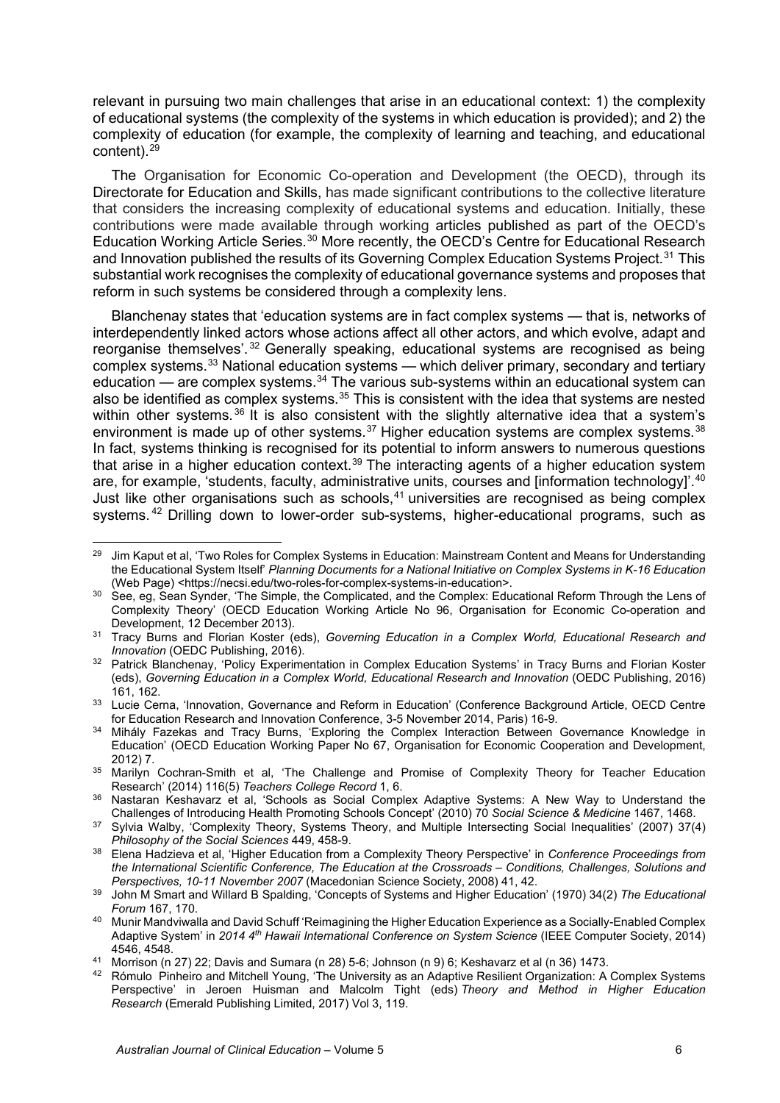relevant in pursuing two main challenges that arise in an educational context: 1) the complexity of educational systems (the complexity of the systems in which education is provided); and 2) the complexity of education (for example, the complexity of learning and teaching, and educational content).[29](#page-7-0)

The Organisation for Economic Co-operation and Development (the OECD), through its Directorate for Education and Skills, has made significant contributions to the collective literature that considers the increasing complexity of educational systems and education. Initially, these contributions were made available through working articles published as part of the OECD's Education Working Article Series.<sup>[30](#page-7-1)</sup> More recently, the OECD's Centre for Educational Research and Innovation published the results of its Governing Complex Education Systems Project.<sup>[31](#page-7-2)</sup> This substantial work recognises the complexity of educational governance systems and proposes that reform in such systems be considered through a complexity lens.

Blanchenay states that 'education systems are in fact complex systems — that is, networks of interdependently linked actors whose actions affect all other actors, and which evolve, adapt and reorganise themselves'. [32](#page-7-3) Generally speaking, educational systems are recognised as being complex systems.[33](#page-7-4) National education systems — which deliver primary, secondary and tertiary education — are complex systems.<sup>[34](#page-7-5)</sup> The various sub-systems within an educational system can also be identified as complex systems.<sup>[35](#page-7-6)</sup> This is consistent with the idea that systems are nested within other systems.<sup>[36](#page-7-7)</sup> It is also consistent with the slightly alternative idea that a system's environment is made up of other systems. $37$  Higher education systems are complex systems.  $38$ In fact, systems thinking is recognised for its potential to inform answers to numerous questions that arise in a higher education context.<sup>[39](#page-7-10)</sup> The interacting agents of a higher education system are, for example, 'students, faculty, administrative units, courses and [information technology]'.<sup>[40](#page-7-11)</sup> Just like other organisations such as schools,  $41$  universities are recognised as being complex systems.<sup>[42](#page-7-13)</sup> Drilling down to lower-order sub-systems, higher-educational programs, such as

<span id="page-7-13"></span>42 [Rómulo](https://www.emerald.com/insight/search?q=R%C3%B3mulo%20Pinheiro) Pinheiro and Mitchell Young, 'The University as an Adaptive Resilient Organization: A Complex Systems Perspective' in Jeroen Huisman and Malcolm Tight (eds) *Theory and Method in Higher Education Research* (Emerald Publishing Limited, 2017) Vol 3, 119.

<span id="page-7-0"></span><sup>&</sup>lt;sup>29</sup> Jim Kaput et al, 'Two Roles for Complex Systems in Education: Mainstream Content and Means for Understanding the Educational System Itself' *Planning Documents for a National Initiative on Complex Systems in K-16 Education* (Web Page) <https://necsi.edu/two-roles-for-complex-systems-in-education>.

<span id="page-7-1"></span><sup>&</sup>lt;sup>30</sup> See, eg, Sean Synder, 'The Simple, the Complicated, and the Complex: Educational Reform Through the Lens of Complexity Theory' (OECD Education Working Article No 96, Organisation for Economic Co-operation and Development, 12 December 2013).

<span id="page-7-2"></span><sup>31</sup> Tracy Burns and Florian Koster (eds), *Governing Education in a Complex World, Educational Research and Innovation* (OEDC Publishing, 2016).

<span id="page-7-3"></span><sup>32</sup> Patrick Blanchenay, 'Policy Experimentation in Complex Education Systems' in Tracy Burns and Florian Koster (eds), *Governing Education in a Complex World, Educational Research and Innovation* (OEDC Publishing, 2016) 161, 162.

<span id="page-7-4"></span><sup>33</sup> Lucie Cerna, 'Innovation, Governance and Reform in Education' (Conference Background Article, OECD Centre for Education Research and Innovation Conference, 3-5 November 2014, Paris) 16-9.

<span id="page-7-5"></span><sup>&</sup>lt;sup>34</sup> Mihály Fazekas and Tracy Burns, 'Exploring the Complex Interaction Between Governance Knowledge in Education' (OECD Education Working Paper No 67, Organisation for Economic Cooperation and Development, 2012) 7. 35 Marilyn Cochran-Smith et al, 'The Challenge and Promise of Complexity Theory for Teacher Education

<span id="page-7-6"></span>Research' (2014) 116(5) *Teachers College Record* 1, 6.

<span id="page-7-7"></span><sup>&</sup>lt;sup>36</sup> Nastaran Keshavarz et al, 'Schools as Social Complex Adaptive Systems: A New Way to Understand the<br>Challenges of Introducing Health Promoting Schools Concept' (2010) 70 Social Science & Medicine 1467, 1468.

<span id="page-7-8"></span><sup>&</sup>lt;sup>37</sup> Sylvia Walby, 'Complexity Theory, Systems Theory, and Multiple Intersecting Social Inequalities' (2007) 37(4) *Philosophy of the Social Sciences* 449, 458-9.

<span id="page-7-9"></span><sup>38</sup> Elena Hadzieva et al, 'Higher Education from a Complexity Theory Perspective' in *Conference Proceedings from the International Scientific Conference, The Education at the Crossroads – Conditions, Challenges, Solutions and Perspectives, 10-11 November 2007* (Macedonian Science Society, 2008) 41, 42.

<span id="page-7-10"></span><sup>39</sup> John M Smart and Willard B Spalding, 'Concepts of Systems and Higher Education' (1970) 34(2) *The Educational* 

<span id="page-7-11"></span>*Forum* 167, 170. 40 Munir Mandviwalla and David Schuff 'Reimagining the Higher Education Experience as a Socially-Enabled Complex Adaptive System' in *2014 4th Hawaii International Conference on System Science* (IEEE Computer Society, 2014) 4546, 4548.

<span id="page-7-12"></span><sup>41</sup> Morrison (n 27) 22; Davis and Sumara (n 28) 5-6; Johnson (n 9) 6; Keshavarz et al (n 36) 1473.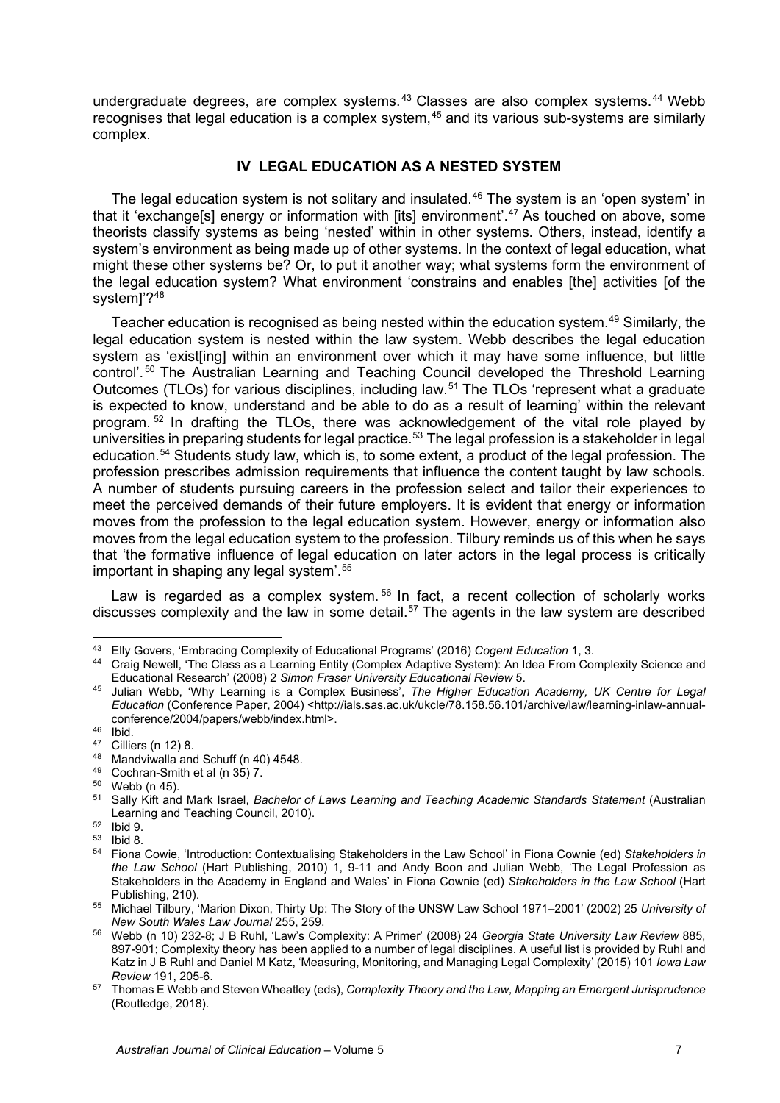undergraduate degrees, are complex systems. $43$  Classes are also complex systems. $44$  Webb recognises that legal education is a complex system,<sup>[45](#page-8-2)</sup> and its various sub-systems are similarly complex.

## **IV LEGAL EDUCATION AS A NESTED SYSTEM**

The legal education system is not solitary and insulated.<sup>[46](#page-8-3)</sup> The system is an 'open system' in that it 'exchange[s] energy or information with [its] environment'.[47](#page-8-4) As touched on above, some theorists classify systems as being 'nested' within in other systems. Others, instead, identify a system's environment as being made up of other systems. In the context of legal education, what might these other systems be? Or, to put it another way; what systems form the environment of the legal education system? What environment 'constrains and enables [the] activities [of the system]'?[48](#page-8-5)

Teacher education is recognised as being nested within the education system.<sup>[49](#page-8-6)</sup> Similarly, the legal education system is nested within the law system. Webb describes the legal education system as 'existiing] within an environment over which it may have some influence, but little control'. [50](#page-8-7) The Australian Learning and Teaching Council developed the Threshold Learning Outcomes (TLOs) for various disciplines, including law.<sup>[51](#page-8-8)</sup> The TLOs 'represent what a graduate is expected to know, understand and be able to do as a result of learning' within the relevant program. [52](#page-8-9) In drafting the TLOs, there was acknowledgement of the vital role played by universities in preparing students for legal practice.<sup>[53](#page-8-10)</sup> The legal profession is a stakeholder in legal education.[54](#page-8-11) Students study law, which is, to some extent, a product of the legal profession. The profession prescribes admission requirements that influence the content taught by law schools. A number of students pursuing careers in the profession select and tailor their experiences to meet the perceived demands of their future employers. It is evident that energy or information moves from the profession to the legal education system. However, energy or information also moves from the legal education system to the profession. Tilbury reminds us of this when he says that 'the formative influence of legal education on later actors in the legal process is critically important in shaping any legal system'.[55](#page-8-12)

Law is regarded as a complex system.<sup>[56](#page-8-13)</sup> In fact, a recent collection of scholarly works discusses complexity and the law in some detail.[57](#page-8-14) The agents in the law system are described

- <span id="page-8-6"></span>
- 

<sup>43</sup> Elly Govers, 'Embracing Complexity of Educational Programs' (2016) *Cogent Education* 1, 3.

<span id="page-8-1"></span><span id="page-8-0"></span><sup>44</sup> Craig Newell, 'The Class as a Learning Entity (Complex Adaptive System): An Idea From Complexity Science and Educational Research' (2008) 2 *Simon Fraser University Educational Review* 5. 45 Julian Webb, 'Why Learning is a Complex Business', *The Higher Education Academy, UK Centre for Legal* 

<span id="page-8-2"></span>*Education* (Conference Paper, 2004) <http://ials.sas.ac.uk/ukcle/78.158.56.101/archive/law/learning-inlaw-annualconference/2004/papers/webb/index.html>.

<span id="page-8-8"></span><span id="page-8-7"></span>

<span id="page-8-5"></span><span id="page-8-4"></span><span id="page-8-3"></span><sup>&</sup>lt;sup>47</sup> Cilliers (n 12) 8.<br><sup>48</sup> Mandviwalla and Schuff (n 40) 4548.<br><sup>49</sup> Cochran-Smith et al (n 35) 7.<br><sup>50</sup> Webb (n 45).<br><sup>51</sup> Sally Kift and Mark Israel, *Bachelor of Laws Learning and Teaching Academic Standards Statement (* Learning and Teaching Council, 2010).<br>
<sup>52</sup> Ibid 9.<br>
<sup>53</sup> Ibid 8.

<span id="page-8-9"></span>

<span id="page-8-11"></span><span id="page-8-10"></span><sup>54</sup> Fiona Cowie, 'Introduction: Contextualising Stakeholders in the Law School' in Fiona Cownie (ed) *Stakeholders in the Law School* (Hart Publishing, 2010) 1, 9-11 and Andy Boon and Julian Webb, 'The Legal Profession as Stakeholders in the Academy in England and Wales' in Fiona Cownie (ed) *Stakeholders in the Law School* (Hart Publishing, 210).

<span id="page-8-12"></span><sup>55</sup> Michael Tilbury, 'Marion Dixon, Thirty Up: The Story of the UNSW Law School 1971–2001' (2002) 25 *University of New South Wales Law Journal* 255, 259.

<span id="page-8-13"></span><sup>56</sup> Webb (n 10) 232-8; J B Ruhl, 'Law's Complexity: A Primer' (2008) 24 *Georgia State University Law Review* 885, 897-901; Complexity theory has been applied to a number of legal disciplines. A useful list is provided by Ruhl and Katz in J B Ruhl and Daniel M Katz, 'Measuring, Monitoring, and Managing Legal Complexity' (2015) 101 *Iowa Law Review* 191, 205-6.

<span id="page-8-14"></span><sup>57</sup> Thomas E Webb and Steven Wheatley (eds), *Complexity Theory and the Law, Mapping an Emergent Jurisprudence* (Routledge, 2018).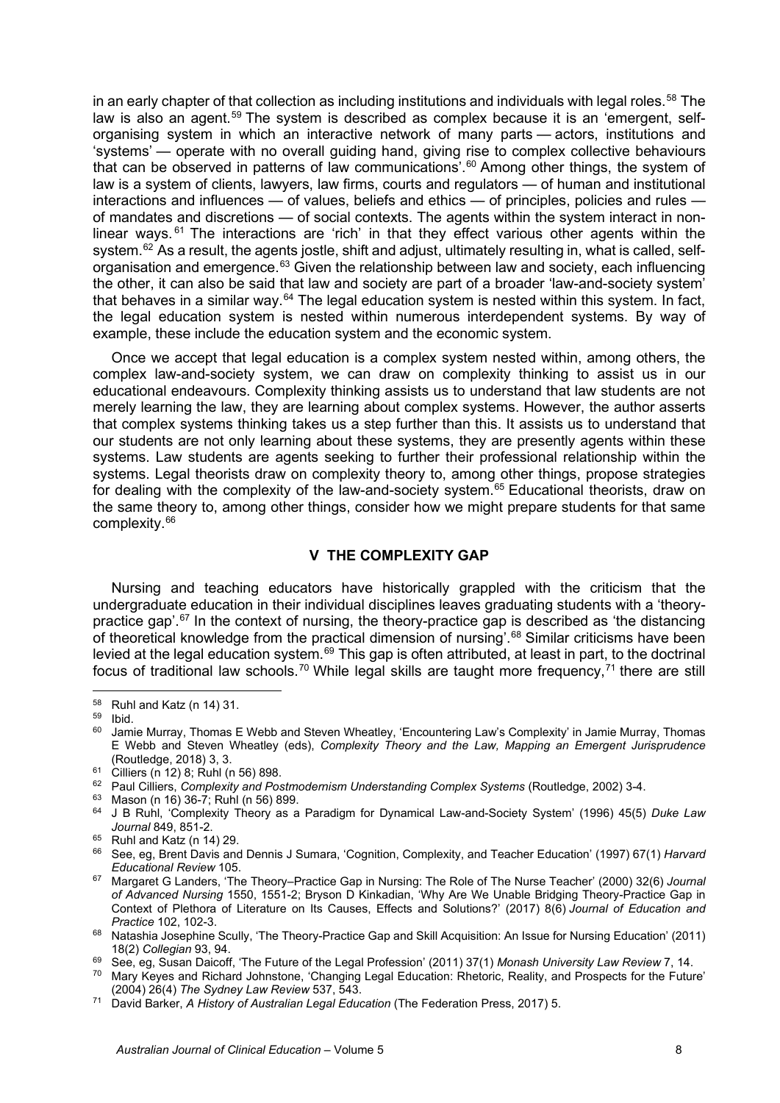in an early chapter of that collection as including institutions and individuals with legal roles.<sup>[58](#page-9-0)</sup> The law is also an agent.<sup>[59](#page-9-1)</sup> The system is described as complex because it is an 'emergent, selforganising system in which an interactive network of many parts — actors, institutions and 'systems' — operate with no overall guiding hand, giving rise to complex collective behaviours that can be observed in patterns of law communications'. [60](#page-9-2) Among other things, the system of law is a system of clients, lawyers, law firms, courts and regulators — of human and institutional interactions and influences — of values, beliefs and ethics — of principles, policies and rules of mandates and discretions — of social contexts. The agents within the system interact in nonlinear ways.  $61$  The interactions are 'rich' in that they effect various other agents within the system.<sup>[62](#page-9-4)</sup> As a result, the agents jostle, shift and adjust, ultimately resulting in, what is called, self-organisation and emergence.<sup>[63](#page-9-5)</sup> Given the relationship between law and society, each influencing the other, it can also be said that law and society are part of a broader 'law-and-society system' that behaves in a similar way.<sup>[64](#page-9-6)</sup> The legal education system is nested within this system. In fact, the legal education system is nested within numerous interdependent systems. By way of example, these include the education system and the economic system.

Once we accept that legal education is a complex system nested within, among others, the complex law-and-society system, we can draw on complexity thinking to assist us in our educational endeavours. Complexity thinking assists us to understand that law students are not merely learning the law, they are learning about complex systems. However, the author asserts that complex systems thinking takes us a step further than this. It assists us to understand that our students are not only learning about these systems, they are presently agents within these systems. Law students are agents seeking to further their professional relationship within the systems. Legal theorists draw on complexity theory to, among other things, propose strategies for dealing with the complexity of the law-and-society system.<sup>[65](#page-9-7)</sup> Educational theorists, draw on the same theory to, among other things, consider how we might prepare students for that same complexity[.66](#page-9-8)

#### **V THE COMPLEXITY GAP**

Nursing and teaching educators have historically grappled with the criticism that the undergraduate education in their individual disciplines leaves graduating students with a 'theorypractice gap'. $67$  In the context of nursing, the theory-practice gap is described as 'the distancing of theoretical knowledge from the practical dimension of nursing'.<sup>[68](#page-9-10)</sup> Similar criticisms have been levied at the legal education system.[69](#page-9-11) This gap is often attributed, at least in part, to the doctrinal focus of traditional law schools.<sup>[70](#page-9-12)</sup> While legal skills are taught more frequency.<sup>[71](#page-9-13)</sup> there are still

<span id="page-9-0"></span><sup>58</sup> Ruhl and Katz (n 14) 31.

 $\frac{59}{60}$  Ibid.

<span id="page-9-2"></span><span id="page-9-1"></span>Jamie Murray, Thomas E Webb and Steven Wheatley, 'Encountering Law's Complexity' in Jamie Murray, Thomas E Webb and Steven Wheatley (eds), *Complexity Theory and the Law, Mapping an Emergent Jurisprudence* (Routledge, 2018) 3, 3.<br><sup>61</sup> Cilliers (n 12) 8; Ruhl (n 56) 898.

<span id="page-9-4"></span><span id="page-9-3"></span><sup>&</sup>lt;sup>62</sup> Paul Cilliers, *Complexity and Postmodernism Understanding Complex Systems* (Routledge, 2002) 3-4.

<sup>63</sup> Mason (n 16) 36-7; Ruhl (n 56) 899.

<span id="page-9-6"></span><span id="page-9-5"></span><sup>64</sup> J B Ruhl, 'Complexity Theory as a Paradigm for Dynamical Law-and-Society System' (1996) 45(5) *Duke Law Journal* 849, 851-2.

 $65$  Ruhl and Katz (n 14) 29.

<span id="page-9-8"></span><span id="page-9-7"></span><sup>66</sup> See, eg, Brent Davis and Dennis J Sumara, 'Cognition, Complexity, and Teacher Education' (1997) 67(1) *Harvard Educational Review* 105.

<span id="page-9-9"></span><sup>67</sup> Margaret G Landers, 'The Theory–Practice Gap in Nursing: The Role of The Nurse Teacher' (2000) 32(6) *Journal of Advanced Nursing* 1550, 1551-2; Bryson D Kinkadian, 'Why Are We Unable Bridging Theory-Practice Gap in Context of Plethora of Literature on Its Causes, Effects and Solutions?' (2017) 8(6) *Journal of Education and* 

<span id="page-9-10"></span><sup>&</sup>lt;sup>68</sup> Natashia Josephine Scully, 'The Theory-Practice Gap and Skill Acquisition: An Issue for Nursing Education' (2011) 18(2) *Collegian* 93, 94.

<span id="page-9-12"></span><span id="page-9-11"></span><sup>&</sup>lt;sup>70</sup> Mary Keyes and Richard Johnstone, 'Changing Legal Education: Rhetoric, Reality, and Prospects for the Future' (2004) 26(4) The Sydney Law Review 537, 543.

<span id="page-9-13"></span><sup>&</sup>lt;sup>71</sup> David Barker, *A History of Australian Legal Education* (The Federation Press, 2017) 5.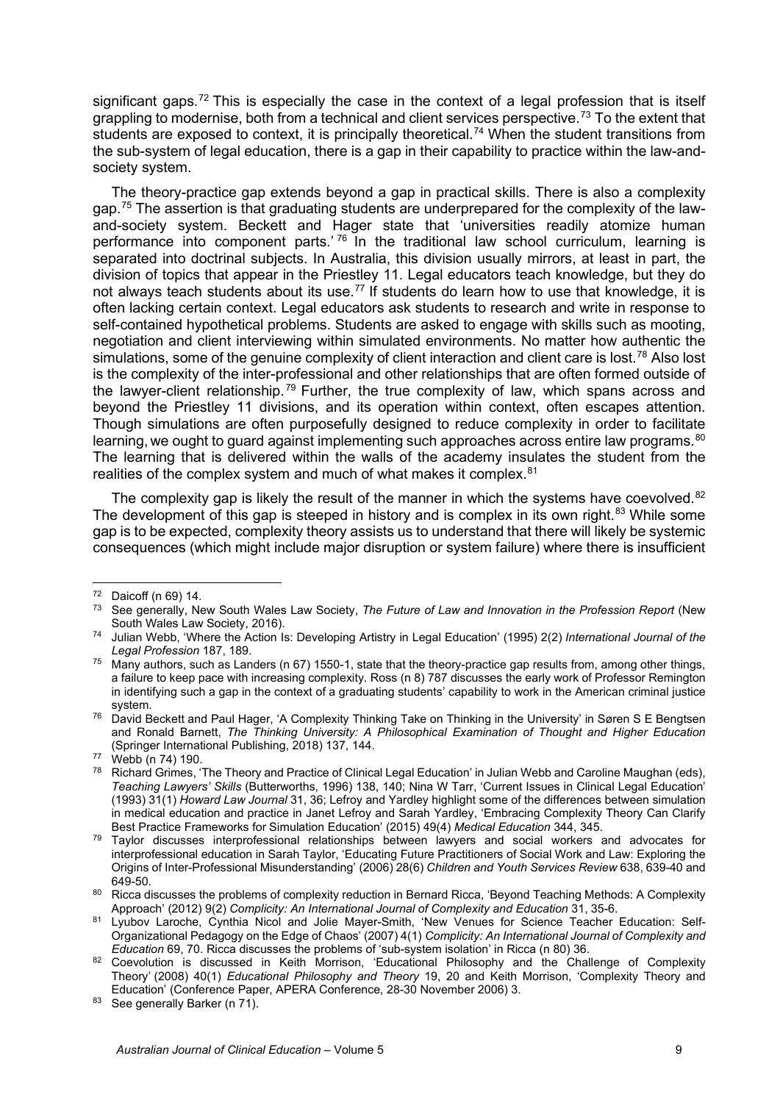significant gaps.<sup>[72](#page-10-0)</sup> This is especially the case in the context of a legal profession that is itself grappling to modernise, both from a technical and client services perspective.<sup>[73](#page-10-1)</sup> To the extent that students are exposed to context, it is principally theoretical.<sup>[74](#page-10-2)</sup> When the student transitions from the sub-system of legal education, there is a gap in their capability to practice within the law-andsociety system.

The theory-practice gap extends beyond a gap in practical skills. There is also a complexity gap.[75](#page-10-3) The assertion is that graduating students are underprepared for the complexity of the lawand-society system. Beckett and Hager state that 'universities readily atomize human performance into component parts.' [76](#page-10-4) In the traditional law school curriculum, learning is separated into doctrinal subjects. In Australia, this division usually mirrors, at least in part, the division of topics that appear in the Priestley 11. Legal educators teach knowledge, but they do not always teach students about its use.<sup>[77](#page-10-5)</sup> If students do learn how to use that knowledge, it is often lacking certain context. Legal educators ask students to research and write in response to self-contained hypothetical problems. Students are asked to engage with skills such as mooting, negotiation and client interviewing within simulated environments. No matter how authentic the simulations, some of the genuine complexity of client interaction and client care is lost.<sup>[78](#page-10-6)</sup> Also lost is the complexity of the inter-professional and other relationships that are often formed outside of the lawyer-client relationship.<sup>[79](#page-10-7)</sup> Further, the true complexity of law, which spans across and beyond the Priestley 11 divisions, and its operation within context, often escapes attention. Though simulations are often purposefully designed to reduce complexity in order to facilitate learning, we ought to quard against implementing such approaches across entire law programs.<sup>[80](#page-10-8)</sup> The learning that is delivered within the walls of the academy insulates the student from the realities of the complex system and much of what makes it complex.<sup>[81](#page-10-9)</sup>

The complexity gap is likely the result of the manner in which the systems have coevolved.<sup>[82](#page-10-10)</sup> The development of this gap is steeped in history and is complex in its own right.<sup>[83](#page-10-11)</sup> While some gap is to be expected, complexity theory assists us to understand that there will likely be systemic consequences (which might include major disruption or system failure) where there is insufficient

<span id="page-10-1"></span><span id="page-10-0"></span> $^{72}$  Daicoff (n 69) 14.

<sup>73</sup> See generally, New South Wales Law Society, *The Future of Law and Innovation in the Profession Report* (New South Wales Law Society, 2016).

<span id="page-10-2"></span><sup>74</sup> Julian Webb, 'Where the Action Is: Developing Artistry in Legal Education' (1995) 2(2) *International Journal of the Legal Profession* 187, 189.

<span id="page-10-3"></span> $75$  Many authors, such as Landers (n 67) 1550-1, state that the theory-practice gap results from, among other things, a failure to keep pace with increasing complexity. Ross (n 8) 787 discusses the early work of Professor Remington in identifying such a gap in the context of a graduating students' capability to work in the American criminal justice

<span id="page-10-4"></span>system.<br><sup>76</sup> David Beckett and Paul Hager, 'A Complexity Thinking Take on Thinking in the University' in Søren S E Bengtsen and Ronald Barnett, *The Thinking University: A Philosophical Examination of Thought and Higher Education* (Springer International Publishing, 2018) 137, 144. 77 Webb (n 74) 190.

<span id="page-10-6"></span><span id="page-10-5"></span><sup>&</sup>lt;sup>78</sup> Richard Grimes, 'The Theory and Practice of Clinical Legal Education' in Julian Webb and Caroline Maughan (eds), *Teaching Lawyers' Skills* (Butterworths, 1996) 138, 140; Nina W Tarr, 'Current Issues in Clinical Legal Education' (1993) 31(1) *Howard Law Journal* 31, 36; Lefroy and Yardley highlight some of the differences between simulation in medical education and practice in Janet Lefroy and Sarah Yardley, 'Embracing Complexity Theory Can Clarify Best Practice Frameworks for Simulation Education' (2015) 49(4) *Medical Education* 344, 345.

<span id="page-10-7"></span><sup>&</sup>lt;sup>79</sup> Taylor discusses interprofessional relationships between lawyers and social workers and advocates for interprofessional education in Sarah Taylor, 'Educating Future Practitioners of Social Work and Law: Exploring the Origins of Inter-Professional Misunderstanding' (2006) 28(6) *Children and Youth Services Review* 638, 639-40 and 649-50.<br><sup>80</sup> Ricca discusses the problems of complexity reduction in Bernard Ricca, 'Beyond Teaching Methods: A Complexity

<span id="page-10-8"></span>Approach' (2012) 9(2) *Complicity: An International Journal of Complexity and Education* 31, 35-6.

<span id="page-10-9"></span><sup>81</sup> Lyubov Laroche, Cynthia Nicol and Jolie Mayer-Smith, 'New Venues for Science Teacher Education: Self-Organizational Pedagogy on the Edge of Chaos' (2007) 4(1) *Complicity: An International Journal of Complexity and* 

<span id="page-10-10"></span><sup>&</sup>lt;sup>82</sup> Coevolution is discussed in Keith Morrison, 'Educational Philosophy and the Challenge of Complexity Theory' (2008) 40(1) *Educational Philosophy and Theory* 19, 20 and Keith Morrison, 'Complexity Theory and Education' (Conference Paper, APERA Conference, 28-30 November 2006) 3.

<span id="page-10-11"></span><sup>83</sup> See generally Barker (n 71).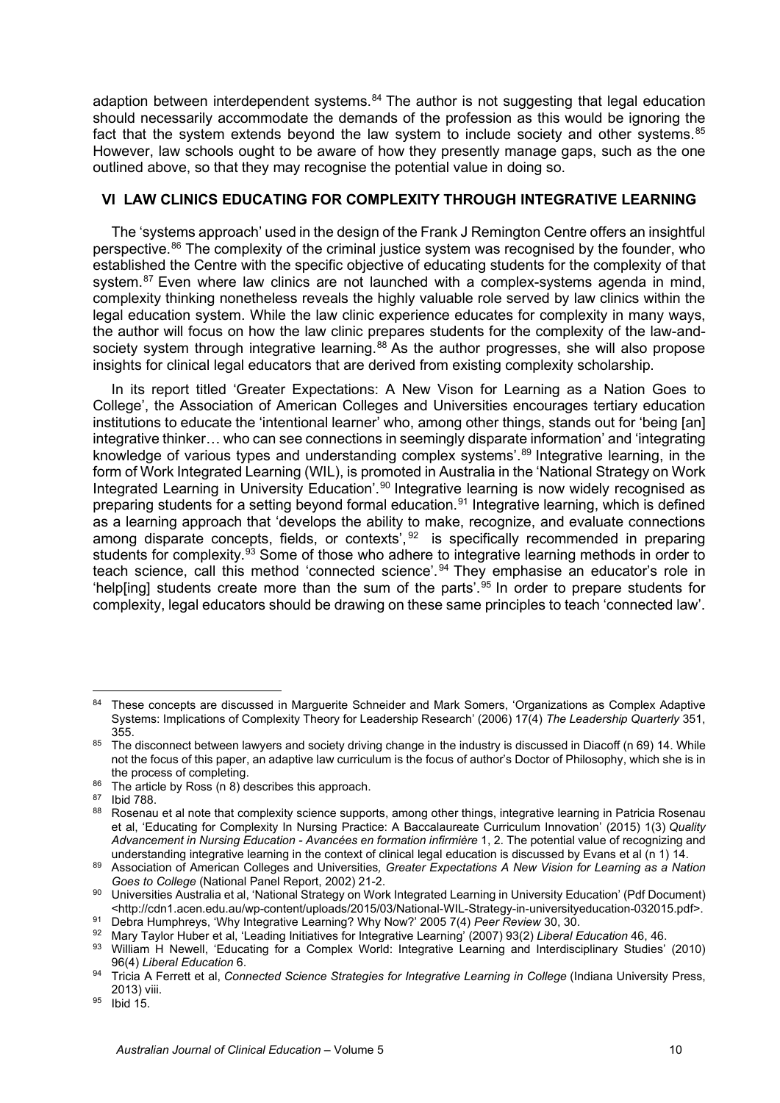adaption between interdependent systems.<sup>[84](#page-11-0)</sup> The author is not suggesting that legal education should necessarily accommodate the demands of the profession as this would be ignoring the fact that the system extends beyond the law system to include society and other systems.<sup>[85](#page-11-1)</sup> However, law schools ought to be aware of how they presently manage gaps, such as the one outlined above, so that they may recognise the potential value in doing so.

## **VI LAW CLINICS EDUCATING FOR COMPLEXITY THROUGH INTEGRATIVE LEARNING**

The 'systems approach' used in the design of the Frank J Remington Centre offers an insightful perspective.<sup>[86](#page-11-2)</sup> The complexity of the criminal justice system was recognised by the founder, who established the Centre with the specific objective of educating students for the complexity of that system.<sup>[87](#page-11-3)</sup> Even where law clinics are not launched with a complex-systems agenda in mind, complexity thinking nonetheless reveals the highly valuable role served by law clinics within the legal education system. While the law clinic experience educates for complexity in many ways, the author will focus on how the law clinic prepares students for the complexity of the law-and-society system through integrative learning.<sup>[88](#page-11-4)</sup> As the author progresses, she will also propose insights for clinical legal educators that are derived from existing complexity scholarship.

In its report titled 'Greater Expectations: A New Vison for Learning as a Nation Goes to College', the Association of American Colleges and Universities encourages tertiary education institutions to educate the 'intentional learner' who, among other things, stands out for 'being [an] integrative thinker… who can see connections in seemingly disparate information' and 'integrating knowledge of various types and understanding complex systems'.<sup>[89](#page-11-5)</sup> Integrative learning, in the form of Work Integrated Learning (WIL), is promoted in Australia in the 'National Strategy on Work Integrated Learning in University Education'.<sup>[90](#page-11-6)</sup> Integrative learning is now widely recognised as preparing students for a setting beyond formal education.<sup>[91](#page-11-7)</sup> Integrative learning, which is defined as a learning approach that 'develops the ability to make, recognize, and evaluate connections as a learning approach that develops the dominy to make, recegnize, and contexts connections among disparate concepts, fields, or contexts',<sup>[92](#page-11-8)</sup> is specifically recommended in preparing students for complexity.<sup>93</sup> Some of those who adhere to integrative learning methods in order to teach science, call this method 'connected science'.<sup>[94](#page-11-10)</sup> They emphasise an educator's role in 'help[ing] students create more than the sum of the parts'.<sup>[95](#page-11-11)</sup> In order to prepare students for complexity, legal educators should be drawing on these same principles to teach 'connected law'.

<span id="page-11-0"></span><sup>84</sup> These concepts are discussed in Marguerite Schneider and Mark Somers, 'Organizations as Complex Adaptive Systems: Implications of Complexity Theory for Leadership Research' (2006) 17(4) *The Leadership Quarterly* 351, 355.

<span id="page-11-1"></span><sup>85</sup> The disconnect between lawyers and society driving change in the industry is discussed in Diacoff (n 69) 14. While not the focus of this paper, an adaptive law curriculum is the focus of author's Doctor of Philosophy, which she is in

the process of completing.<br><sup>86</sup> The article by Ross (n 8) describes this approach.

<span id="page-11-4"></span><span id="page-11-3"></span><span id="page-11-2"></span><sup>&</sup>lt;sup>87</sup> Ibid 788.<br><sup>88</sup> Rosenau et al note that complexity science supports, among other things, integrative learning in Patricia Rosenau et al, 'Educating for Complexity In Nursing Practice: A Baccalaureate Curriculum Innovation' (2015) 1(3) *Quality Advancement in Nursing Education - Avancées en formation infirmière* 1, 2. The potential value of recognizing and

<span id="page-11-5"></span><sup>89</sup> Association of American Colleges and Universities, Greater Expectations A New Vision for Learning as a Nation

<span id="page-11-6"></span>*Goes to College* (National Panel Report, 2002) 21-2. 90 Universities Australia et al, 'National Strategy on Work Integrated Learning in University Education' (Pdf Document) <http://cdn1.acen.edu.au/wp-content/uploads/2015/03/National-WIL-Strategy-in-universityeducation-032015.pdf>.<br><sup>91</sup> Debra Humphreys, 'Why Integrative Learning? Why Now?' 2005 7(4) Peer Review 30, 30.

<span id="page-11-7"></span>

<sup>&</sup>lt;sup>92</sup> Mary Taylor Huber et al, 'Leading Initiatives for Integrative Learning' (2007) 93(2) *Liberal Education* 46, 46.

<span id="page-11-9"></span><span id="page-11-8"></span><sup>93</sup> William H Newell, 'Educating for a Complex World: Integrative Learning and Interdisciplinary Studies' (2010) 96(4) *Liberal Education* 6.

<span id="page-11-10"></span><sup>&</sup>lt;sup>94</sup> Tricia A Ferrett et al, *Connected Science Strategies for Integrative Learning in College* (Indiana University Press, 2013) viii.

<span id="page-11-11"></span> $95$  Ibid 15.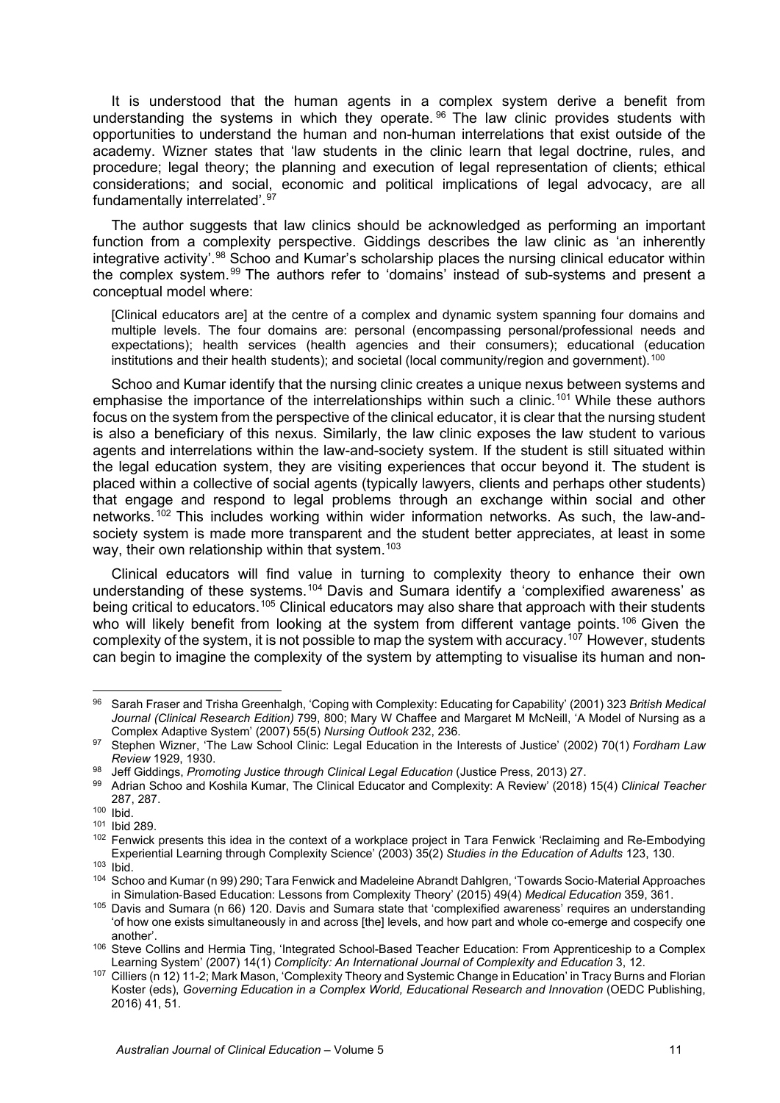It is understood that the human agents in a complex system derive a benefit from understanding the systems in which they operate. [96](#page-12-0) The law clinic provides students with opportunities to understand the human and non-human interrelations that exist outside of the academy. Wizner states that 'law students in the clinic learn that legal doctrine, rules, and procedure; legal theory; the planning and execution of legal representation of clients; ethical considerations; and social, economic and political implications of legal advocacy, are all fundamentally interrelated'.[97](#page-12-1)

The author suggests that law clinics should be acknowledged as performing an important function from a complexity perspective. Giddings describes the law clinic as 'an inherently integrative activity'.<sup>[98](#page-12-2)</sup> Schoo and Kumar's scholarship places the nursing clinical educator within the complex system.[99](#page-12-3) The authors refer to 'domains' instead of sub-systems and present a conceptual model where:

[Clinical educators are] at the centre of a complex and dynamic system spanning four domains and multiple levels. The four domains are: personal (encompassing personal/professional needs and expectations); health services (health agencies and their consumers); educational (education institutions and their health students); and societal (local community/region and government).<sup>[100](#page-12-4)</sup>

Schoo and Kumar identify that the nursing clinic creates a unique nexus between systems and emphasise the importance of the interrelationships within such a clinic.[101](#page-12-5) While these authors focus on the system from the perspective of the clinical educator, it is clear that the nursing student is also a beneficiary of this nexus. Similarly, the law clinic exposes the law student to various agents and interrelations within the law-and-society system. If the student is still situated within the legal education system, they are visiting experiences that occur beyond it. The student is placed within a collective of social agents (typically lawyers, clients and perhaps other students) that engage and respond to legal problems through an exchange within social and other networks.<sup>[102](#page-12-6)</sup> This includes working within wider information networks. As such, the law-andsociety system is made more transparent and the student better appreciates, at least in some way, their own relationship within that system.<sup>[103](#page-12-7)</sup>

Clinical educators will find value in turning to complexity theory to enhance their own understanding of these systems.<sup>[104](#page-12-8)</sup> Davis and Sumara identify a 'complexified awareness' as being critical to educators.<sup>[105](#page-12-9)</sup> Clinical educators may also share that approach with their students who will likely benefit from looking at the system from different vantage points.<sup>[106](#page-12-10)</sup> Given the complexity of the system, it is not possible to map the system with accuracy.<sup>[107](#page-12-11)</sup> However, students can begin to imagine the complexity of the system by attempting to visualise its human and non-

<span id="page-12-0"></span><sup>96</sup> Sarah Fraser and Trisha Greenhalgh, 'Coping with Complexity: Educating for Capability' (2001) 323 *British Medical Journal (Clinical Research Edition)* 799, 800; Mary W Chaffee and Margaret M McNeill, 'A Model of Nursing as a Complex Adaptive System' (2007) 55(5) *Nursing Outlook* 232, 236.

<span id="page-12-1"></span><sup>97</sup> Stephen Wizner, 'The Law School Clinic: Legal Education in the Interests of Justice' (2002) 70(1) *Fordham Law Review* 1929, 1930.

<span id="page-12-3"></span><span id="page-12-2"></span><sup>98</sup> Jeff Giddings, *Promoting Justice through Clinical Legal Education* (Justice Press, 2013) 27. 99 Adrian Schoo and Koshila Kumar, The Clinical Educator and Complexity: A Review' (2018) 15(4) *Clinical Teacher*

<span id="page-12-4"></span> $100$  Ibid.<br> $101$  Ibid 289.

<span id="page-12-6"></span><span id="page-12-5"></span><sup>102</sup> Fenwick presents this idea in the context of a workplace project in Tara Fenwick 'Reclaiming and Re-Embodying Experiential Learning through Complexity Science' (2003) 35(2) *Studies in the Education of Adults* 123, 130. <sup>103</sup> Ibid.

<span id="page-12-8"></span><span id="page-12-7"></span><sup>104</sup> Schoo and Kumar (n 99) 290; Tara Fenwick and Madeleine Abrandt Dahlgren, 'Towards Socio-Material Approaches<br>in Simulation-Based Education: Lessons from Complexity Theory' (2015) 49(4) Medical Education 359, 361.

<span id="page-12-9"></span><sup>&</sup>lt;sup>105</sup> Davis and Sumara (n 66) 120. Davis and Sumara state that 'complexified awareness' requires an understanding 'of how one exists simultaneously in and across [the] levels, and how part and whole co-emerge and cospecify one another'. 106 Steve Collins and Hermia Ting, 'Integrated School-Based Teacher Education: From Apprenticeship to a Complex

<span id="page-12-10"></span>Learning System' (2007) 14(1) *Complicity: An International Journal of Complexity and Education* 3, 12.

<span id="page-12-11"></span><sup>107</sup> Cilliers (n 12) 11-2; Mark Mason, 'Complexity Theory and Systemic Change in Education' in Tracy Burns and Florian Koster (eds), *Governing Education in a Complex World, Educational Research and Innovation* (OEDC Publishing, 2016) 41, 51.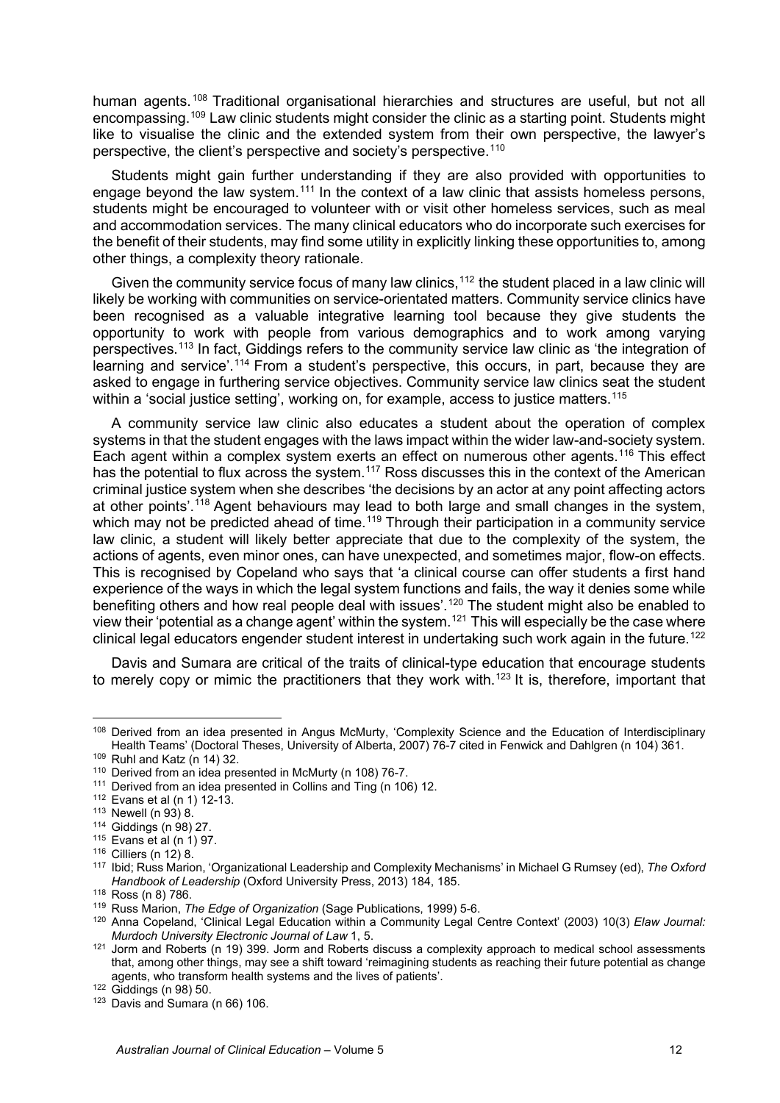human agents.<sup>[108](#page-13-0)</sup> Traditional organisational hierarchies and structures are useful, but not all encompassing[.109](#page-13-1) Law clinic students might consider the clinic as a starting point. Students might like to visualise the clinic and the extended system from their own perspective, the lawyer's perspective, the client's perspective and society's perspective.[110](#page-13-2) 

Students might gain further understanding if they are also provided with opportunities to engage beyond the law system.<sup>[111](#page-13-3)</sup> In the context of a law clinic that assists homeless persons, students might be encouraged to volunteer with or visit other homeless services, such as meal and accommodation services. The many clinical educators who do incorporate such exercises for the benefit of their students, may find some utility in explicitly linking these opportunities to, among other things, a complexity theory rationale.

Given the community service focus of many law clinics,  $112$  the student placed in a law clinic will likely be working with communities on service-orientated matters. Community service clinics have been recognised as a valuable integrative learning tool because they give students the opportunity to work with people from various demographics and to work among varying perspectives.[113](#page-13-5) In fact, Giddings refers to the community service law clinic as 'the integration of learning and service'.<sup>[114](#page-13-6)</sup> From a student's perspective, this occurs, in part, because they are asked to engage in furthering service objectives. Community service law clinics seat the student within a 'social justice setting', working on, for example, access to justice matters.<sup>[115](#page-13-7)</sup>

A community service law clinic also educates a student about the operation of complex systems in that the student engages with the laws impact within the wider law-and-society system. Each agent within a complex system exerts an effect on numerous other agents.<sup>[116](#page-13-8)</sup> This effect has the potential to flux across the system.<sup>[117](#page-13-9)</sup> Ross discusses this in the context of the American criminal justice system when she describes 'the decisions by an actor at any point affecting actors at other points'.<sup>[118](#page-13-10)</sup> Agent behaviours may lead to both large and small changes in the system, which may not be predicted ahead of time.<sup>[119](#page-13-11)</sup> Through their participation in a community service law clinic, a student will likely better appreciate that due to the complexity of the system, the actions of agents, even minor ones, can have unexpected, and sometimes major, flow-on effects. This is recognised by Copeland who says that 'a clinical course can offer students a first hand experience of the ways in which the legal system functions and fails, the way it denies some while benefiting others and how real people deal with issues'.<sup>[120](#page-13-12)</sup> The student might also be enabled to view their 'potential as a change agent' within the system.[121](#page-13-13) This will especially be the case where clinical legal educators engender student interest in undertaking such work again in the future.<sup>[122](#page-13-14)</sup>

Davis and Sumara are critical of the traits of clinical-type education that encourage students to merely copy or mimic the practitioners that they work with.<sup>[123](#page-13-15)</sup> It is, therefore, important that

<span id="page-13-0"></span><sup>&</sup>lt;sup>108</sup> Derived from an idea presented in Angus McMurty, 'Complexity Science and the Education of Interdisciplinary Health Teams' (Doctoral Theses, University of Alberta, 2007) 76-7 cited in Fenwick and Dahlgren (n 104) 361. 109 Ruhl and Katz (n 14) 32.

<span id="page-13-2"></span><span id="page-13-1"></span> $110$  Derived from an idea presented in McMurty (n 108) 76-7.

<span id="page-13-3"></span><sup>&</sup>lt;sup>111</sup> Derived from an idea presented in Collins and Ting (n 106) 12.

<span id="page-13-4"></span><sup>112</sup> Evans et al (n 1) 12-13.

<span id="page-13-5"></span><sup>113</sup> Newell (n 93) 8.

<sup>114</sup> Giddings (n 98) 27.

<span id="page-13-8"></span><span id="page-13-7"></span><span id="page-13-6"></span> $115$  Evans et al (n 1) 97.<br> $116$  Cilliers (n 12) 8.

<span id="page-13-9"></span><sup>117</sup> Ibid; Russ Marion, 'Organizational Leadership and Complexity Mechanisms' in Michael G Rumsey (ed), *The Oxford Handbook of Leadership* (Oxford University Press, 2013) 184, 185.<br><sup>118</sup> Ross (n 8) 786.

<span id="page-13-11"></span><span id="page-13-10"></span><sup>&</sup>lt;sup>119</sup> Russ Marion, *The Edge of Organization* (Sage Publications, 1999) 5-6.

<span id="page-13-12"></span><sup>120</sup> Anna Copeland, 'Clinical Legal Education within a Community Legal Centre Context' (2003) 10(3) *Elaw Journal: Murdoch University Electronic Journal of Law* 1, 5.

<span id="page-13-13"></span><sup>&</sup>lt;sup>121</sup> Jorm and Roberts (n 19) 399. Jorm and Roberts discuss a complexity approach to medical school assessments that, among other things, may see a shift toward 'reimagining students as reaching their future potential as change agents, who transform health systems and the lives of patients'.<br><sup>122</sup> Giddings (n 98) 50.

<span id="page-13-15"></span><span id="page-13-14"></span> $123$  Davis and Sumara (n 66) 106.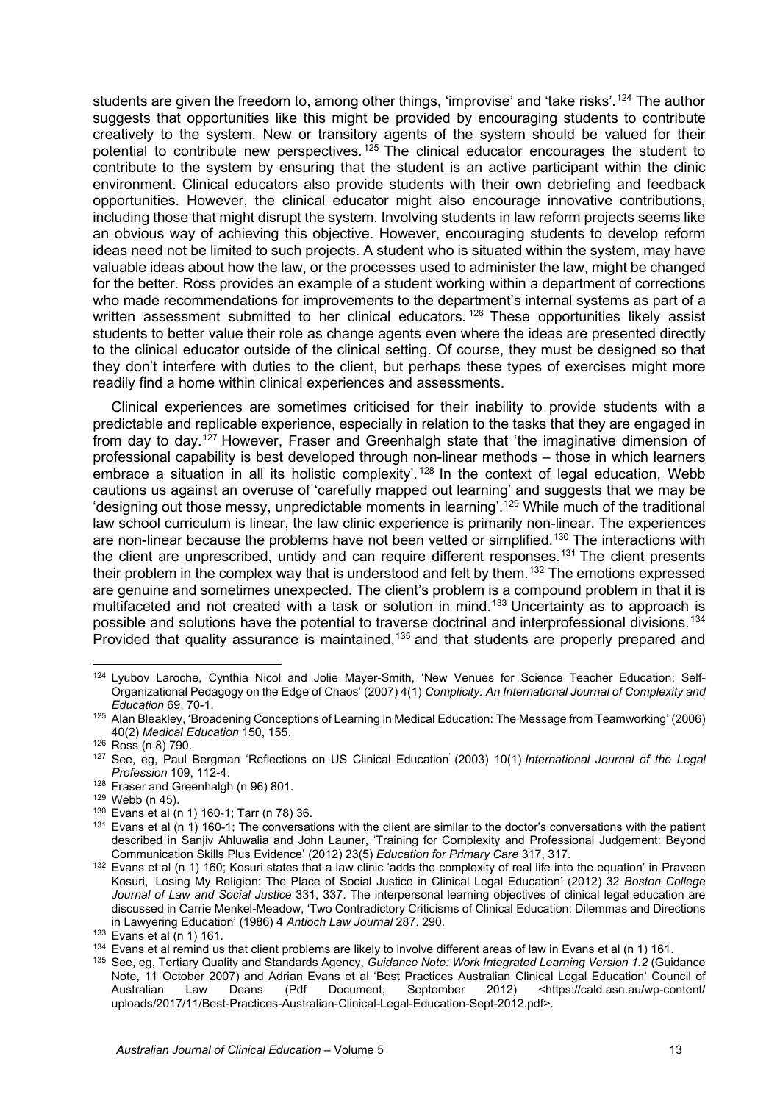students are given the freedom to, among other things, 'improvise' and 'take risks'.<sup>[124](#page-14-0)</sup> The author suggests that opportunities like this might be provided by encouraging students to contribute creatively to the system. New or transitory agents of the system should be valued for their potential to contribute new perspectives.<sup>[125](#page-14-1)</sup> The clinical educator encourages the student to contribute to the system by ensuring that the student is an active participant within the clinic environment. Clinical educators also provide students with their own debriefing and feedback opportunities. However, the clinical educator might also encourage innovative contributions, including those that might disrupt the system. Involving students in law reform projects seems like an obvious way of achieving this objective. However, encouraging students to develop reform ideas need not be limited to such projects. A student who is situated within the system, may have valuable ideas about how the law, or the processes used to administer the law, might be changed for the better. Ross provides an example of a student working within a department of corrections who made recommendations for improvements to the department's internal systems as part of a written assessment submitted to her clinical educators.<sup>[126](#page-14-2)</sup> These opportunities likely assist students to better value their role as change agents even where the ideas are presented directly to the clinical educator outside of the clinical setting. Of course, they must be designed so that they don't interfere with duties to the client, but perhaps these types of exercises might more readily find a home within clinical experiences and assessments.

Clinical experiences are sometimes criticised for their inability to provide students with a predictable and replicable experience, especially in relation to the tasks that they are engaged in from day to day.<sup>[127](#page-14-3)</sup> However, Fraser and Greenhalgh state that 'the imaginative dimension of professional capability is best developed through non-linear methods – those in which learners embrace a situation in all its holistic complexity'.<sup>[128](#page-14-4)</sup> In the context of legal education, Webb cautions us against an overuse of 'carefully mapped out learning' and suggests that we may be 'designing out those messy, unpredictable moments in learning'.[129](#page-14-5) While much of the traditional law school curriculum is linear, the law clinic experience is primarily non-linear. The experiences are non-linear because the problems have not been vetted or simplified.<sup>[130](#page-14-6)</sup> The interactions with the client are unprescribed, untidy and can require different responses.<sup>[131](#page-14-7)</sup> The client presents their problem in the complex way that is understood and felt by them.[132](#page-14-8) The emotions expressed are genuine and sometimes unexpected. The client's problem is a compound problem in that it is multifaceted and not created with a task or solution in mind.<sup>[133](#page-14-9)</sup> Uncertainty as to approach is possible and solutions have the potential to traverse doctrinal and interprofessional divisions.<sup>[134](#page-14-10)</sup> Provided that quality assurance is maintained,[135](#page-14-11) and that students are properly prepared and

<span id="page-14-0"></span><sup>124</sup> Lyubov Laroche, Cynthia Nicol and Jolie Mayer-Smith, 'New Venues for Science Teacher Education: Self-Organizational Pedagogy on the Edge of Chaos' (2007) 4(1) *Complicity: An International Journal of Complexity and* 

<span id="page-14-1"></span>*Education* 69, 70-1. 125 Alan Bleakley, 'Broadening Conceptions of Learning in Medical Education: The Message from Teamworking' (2006) 40(2) *Medical Education* 150, 155. 126 Ross (n 8) 790.

<span id="page-14-3"></span><span id="page-14-2"></span><sup>127</sup> See, eg, Paul Bergman 'Reflections on US Clinical Education' (2003) 10(1) *International Journal of the Legal Profession* 109, 112-4.

<span id="page-14-4"></span> $128$  Fraser and Greenhalgh (n 96) 801.<br> $129$  Webb (n 45).

<span id="page-14-6"></span><span id="page-14-5"></span><sup>130</sup> Evans et al (n 1) 160-1; Tarr (n 78) 36.

<span id="page-14-7"></span> $131$  Evans et al  $(n 1)$  160-1; The conversations with the client are similar to the doctor's conversations with the patient described in Sanjiv Ahluwalia and John Launer, 'Training for Complexity and Professional Judgement: Beyond Communication Skills Plus Evidence' (2012) 23(5) *Education for Primary Care* 317, 317.

<span id="page-14-8"></span><sup>132</sup> Evans et al (n 1) 160; Kosuri states that a law clinic 'adds the complexity of real life into the equation' in Praveen Kosuri, 'Losing My Religion: The Place of Social Justice in Clinical Legal Education' (2012) 32 *Boston College Journal of Law and Social Justice* 331, 337. The interpersonal learning objectives of clinical legal education are discussed in Carrie Menkel-Meadow, 'Two Contradictory Criticisms of Clinical Education: Dilemmas and Directions in Lawyering Education' (1986) 4 *Antioch Law Journal* 287, 290.

<span id="page-14-10"></span><span id="page-14-9"></span> $134$  Evans et al remind us that client problems are likely to involve different areas of law in Evans et al (n 1) 161.

<span id="page-14-11"></span><sup>135</sup> See, eg, Tertiary Quality and Standards Agency, *Guidance Note: Work Integrated Learning Version 1.2* (Guidance Note, 11 October 2007) and Adrian Evans et al 'Best Practices Australian Clinical Legal Education' Council of Australian Law Deans (Pdf Document, September 2012) <https://cald.asn.au/wp-content/ uploads/2017/11/Best-Practices-Australian-Clinical-Legal-Education-Sept-2012.pdf>.